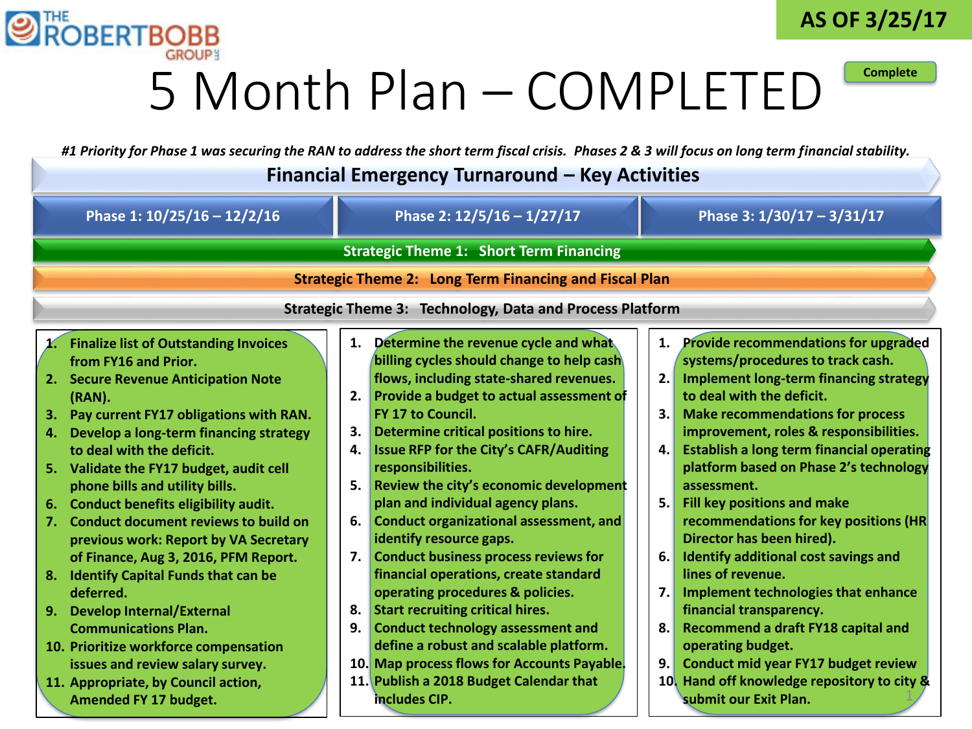



**Complete**

### 5 Month Plan – COMPLETED

*#1 Priority for Phase 1 was securing the RAN to address the short term fiscal crisis. Phases 2 & 3 will focus on long term financial stability.*

| Financial Emergency Turnaround – Key Activities                                                                                                                                                                                                                                                                                                                                                                                                                                                                                                                                                                                                                                                                   |                                                                                                                                                                                                                                                                                                                                                                                                                                                                                                                                                                                                                                                                                                                                                                                                                                           |                                              |                                                                                                                                                                                                                                                                                                                                                                                                                                                                                                                                                                                                                                                                                                                                                          |
|-------------------------------------------------------------------------------------------------------------------------------------------------------------------------------------------------------------------------------------------------------------------------------------------------------------------------------------------------------------------------------------------------------------------------------------------------------------------------------------------------------------------------------------------------------------------------------------------------------------------------------------------------------------------------------------------------------------------|-------------------------------------------------------------------------------------------------------------------------------------------------------------------------------------------------------------------------------------------------------------------------------------------------------------------------------------------------------------------------------------------------------------------------------------------------------------------------------------------------------------------------------------------------------------------------------------------------------------------------------------------------------------------------------------------------------------------------------------------------------------------------------------------------------------------------------------------|----------------------------------------------|----------------------------------------------------------------------------------------------------------------------------------------------------------------------------------------------------------------------------------------------------------------------------------------------------------------------------------------------------------------------------------------------------------------------------------------------------------------------------------------------------------------------------------------------------------------------------------------------------------------------------------------------------------------------------------------------------------------------------------------------------------|
| Phase 1: 10/25/16 - 12/2/16                                                                                                                                                                                                                                                                                                                                                                                                                                                                                                                                                                                                                                                                                       | Phase 2: 12/5/16 - 1/27/17                                                                                                                                                                                                                                                                                                                                                                                                                                                                                                                                                                                                                                                                                                                                                                                                                |                                              | Phase 3: 1/30/17 - 3/31/17                                                                                                                                                                                                                                                                                                                                                                                                                                                                                                                                                                                                                                                                                                                               |
| <b>Strategic Theme 1: Short Term Financing</b>                                                                                                                                                                                                                                                                                                                                                                                                                                                                                                                                                                                                                                                                    |                                                                                                                                                                                                                                                                                                                                                                                                                                                                                                                                                                                                                                                                                                                                                                                                                                           |                                              |                                                                                                                                                                                                                                                                                                                                                                                                                                                                                                                                                                                                                                                                                                                                                          |
| <b>Strategic Theme 2: Long Term Financing and Fiscal Plan</b>                                                                                                                                                                                                                                                                                                                                                                                                                                                                                                                                                                                                                                                     |                                                                                                                                                                                                                                                                                                                                                                                                                                                                                                                                                                                                                                                                                                                                                                                                                                           |                                              |                                                                                                                                                                                                                                                                                                                                                                                                                                                                                                                                                                                                                                                                                                                                                          |
| <b>Strategic Theme 3: Technology, Data and Process Platform</b>                                                                                                                                                                                                                                                                                                                                                                                                                                                                                                                                                                                                                                                   |                                                                                                                                                                                                                                                                                                                                                                                                                                                                                                                                                                                                                                                                                                                                                                                                                                           |                                              |                                                                                                                                                                                                                                                                                                                                                                                                                                                                                                                                                                                                                                                                                                                                                          |
| <b>Finalize list of Outstanding Invoices</b><br>from FY16 and Prior.<br>2. Secure Revenue Anticipation Note<br>(RAN).<br>3. Pay current FY17 obligations with RAN.<br>Develop a long-term financing strategy<br>4.<br>to deal with the deficit.<br>5. Validate the FY17 budget, audit cell<br>phone bills and utility bills.<br>6. Conduct benefits eligibility audit.<br>Conduct document reviews to build on<br>7.<br>previous work: Report by VA Secretary<br>of Finance, Aug 3, 2016, PFM Report.<br>8. Identify Capital Funds that can be<br>deferred.<br><b>Develop Internal/External</b><br>9.<br><b>Communications Plan.</b><br>10. Prioritize workforce compensation<br>issues and review salary survey. | Determine the revenue cycle and what<br>1.<br>billing cycles should change to help cash<br>flows, including state-shared revenues.<br>Provide a budget to actual assessment of<br>2.<br>FY 17 to Council.<br>Determine critical positions to hire.<br>3.<br><b>Issue RFP for the City's CAFR/Auditing</b><br>4.<br>responsibilities.<br>Review the city's economic development<br>5.<br>plan and individual agency plans.<br><b>Conduct organizational assessment, and</b><br>6.<br>identify resource gaps.<br><b>Conduct business process reviews for</b><br>7.<br>financial operations, create standard<br>operating procedures & policies.<br><b>Start recruiting critical hires.</b><br>8.<br><b>Conduct technology assessment and</b><br>9.<br>define a robust and scalable platform.<br>10. Map process flows for Accounts Payable. | 2.<br>3.<br>4.<br>5.<br>6.<br>7.<br>8.<br>9. | 1. Provide recommendations for upgraded<br>systems/procedures to track cash.<br><b>Implement long-term financing strategy</b><br>to deal with the deficit.<br><b>Make recommendations for process</b><br>improvement, roles & responsibilities.<br><b>Establish a long term financial operating</b><br>platform based on Phase 2's technology<br>assessment.<br><b>Fill key positions and make</b><br>recommendations for key positions (HR<br>Director has been hired).<br>Identify additional cost savings and<br>lines of revenue.<br>Implement technologies that enhance<br>financial transparency.<br>Recommend a draft FY18 capital and<br>operating budget.<br>Conduct mid year FY17 budget review<br>10. Hand off knowledge repository to city & |
| 11. Appropriate, by Council action,<br>Amended FY 17 budget.                                                                                                                                                                                                                                                                                                                                                                                                                                                                                                                                                                                                                                                      | 11. Publish a 2018 Budget Calendar that<br>includes CIP.                                                                                                                                                                                                                                                                                                                                                                                                                                                                                                                                                                                                                                                                                                                                                                                  |                                              | submit our Exit Plan.                                                                                                                                                                                                                                                                                                                                                                                                                                                                                                                                                                                                                                                                                                                                    |